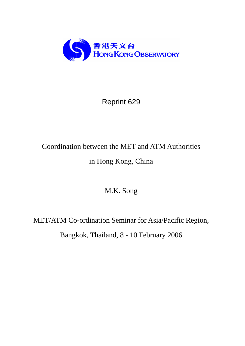

# Reprint 629

# Coordination between the MET and ATM Authorities in Hong Kong, China

M.K. Song

MET/ATM Co-ordination Seminar for Asia/Pacific Region, Bangkok, Thailand, 8 - 10 February 2006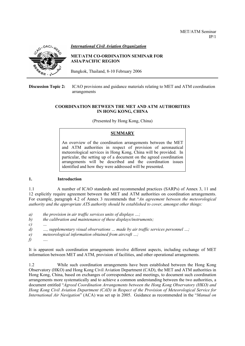

*International Civil Aviation Organization*

# **MET/ATM CO-ORDINATION SEMINAR FOR ASIA/PACIFIC REGION**

Bangkok, Thailand, 8-10 February 2006

**Discussion Topic 2:** ICAO provisions and guidance materials relating to MET and ATM coordination arrangements

#### **COORDINATION BETWEEN THE MET AND ATM AUTHORITIES IN HONG KONG, CHINA**

(Presented by Hong Kong, China)

# **SUMMARY**

An overview of the coordination arrangements between the MET and ATM authorities in respect of provision of aeronautical meteorological services in Hong Kong, China will be provided. In particular, the setting up of a document on the agreed coordination arrangements will be described and the coordination issues identified and how they were addressed will be presented.

# **1. Introduction**

1.1 A number of ICAO standards and recommended practices (SARPs) of Annex 3, 11 and 12 explicitly require agreement between the MET and ATM authorities on coordination arrangements. For example, paragraph 4.2 of Annex 3 recommends that "*An agreement between the meteorological authority and the appropriate ATS authority should be established to cover, amongst other things:* 

- *a) the provision in air traffic services units of displays …;*
- *b) the calibration and maintenance of these displays/instruments;*
- *c) …*
- *d) …, supplementary visual observations … made by air traffic services personnel …;*
- *e) meteorological information obtained from aircraft …;*
- *f) ….*

It is apparent such coordination arrangements involve different aspects, including exchange of MET information between MET and ATM, provision of facilities, and other operational arrangements.

1.2 While such coordination arrangements have been established between the Hong Kong Observatory (HKO) and Hong Kong Civil Aviation Department (CAD), the MET and ATM authorities in Hong Kong, China, based on exchanges of correspondence and meetings, to document such coordination arrangements more systematically and to achieve a common understanding between the two authorities, a document entitled "*Agreed Coordination Arrangements between the Hong Kong Observatory (HKO) and Hong Kong Civil Aviation Department (CAD) in Respect of the Provision of Meteorological Service for International Air Navigation*" (ACA) was set up in 2005. Guidance as recommended in the "*Manual on*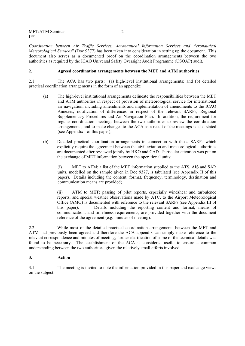*Coordination between Air Traffic Services, Aeronautical Information Services and Aeronautical Meteorological Services*" (Doc 9377) has been taken into consideration in setting up the document. This document also serves as a documented proof on the coordination arrangements between the two authorities as required by the ICAO Universal Safety Oversight Audit Programme (USOAP) audit.

#### **2. Agreed coordination arrangements between the MET and ATM authorities**

2.1 The ACA has two parts: (a) high-level institutional arrangements; and (b) detailed practical coordination arrangements in the form of an appendix:

- (a) The high-level institutional arrangements delineate the responsibilities between the MET and ATM authorities in respect of provision of meteorological service for international air navigation, including amendments and implementation of amendments to the ICAO Annexes, notification of differences in respect of the relevant SARPs, Regional Supplementary Procedures and Air Navigation Plan. In addition, the requirement for regular coordination meetings between the two authorities to review the coordination arrangements, and to make changes to the ACA as a result of the meetings is also stated (see Appendix I of this paper);
- (b) Detailed practical coordination arrangements in connection with those SARPs which explicitly require the agreement between the civil aviation and meteorological authorities are documented after reviewed jointly by HKO and CAD. Particular attention was put on the exchange of MET information between the operational units:

(i) MET to ATM: a list of the MET information supplied to the ATS, AIS and SAR units, modelled on the sample given in Doc 9377, is tabulated (see Appendix II of this paper). Details including the content, format, frequency, terminology, destination and communication means are provided;

(ii) ATM to MET: passing of pilot reports, especially windshear and turbulence reports, and special weather observations made by ATC, to the Airport Meteorological Office (AMO) is documented with reference to the relevant SARPs (see Appendix III of this paper). Details including the reporting content and format, means of communication, and timeliness requirements, are provided together with the document reference of the agreement (e.g. minutes of meeting).

2.2 While most of the detailed practical coordination arrangements between the MET and ATM had previously been agreed and therefore the ACA appendix can simply make reference to the relevant correspondence and minutes of meeting, further clarification of some of the technical details was found to be necessary. The establishment of the ACA is considered useful to ensure a common understanding between the two authorities, given the relatively small efforts involved.

#### **3. Action**

3.1 The meeting is invited to note the information provided in this paper and exchange views on the subject.

\_ \_ \_ \_ \_ \_ \_ \_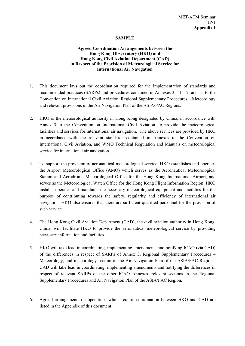# **SAMPLE**

# **Agreed Coordination Arrangements between the Hong Kong Observatory (HKO) and Hong Kong Civil Aviation Department (CAD) in Respect of the Provision of Meteorological Service for International Air Navigation**

- 1. This document lays out the coordination required for the implementation of standards and recommended practices (SARPs) and procedures contained in Annexes 3, 11, 12, and 15 to the Convention on International Civil Aviation, Regional Supplementary Procedures – Meteorology and relevant provisions in the Air Navigation Plan of the ASIA/PAC Regions.
- 2. HKO is the meteorological authority in Hong Kong designated by China, in accordance with Annex 3 to the Convention on International Civil Aviation, to provide the meteorological facilities and services for international air navigation. The above services are provided by HKO in accordance with the relevant standards contained in Annexes to the Convention on International Civil Aviation, and WMO Technical Regulation and Manuals on meteorological service for international air navigation.
- 3. To support the provision of aeronautical meteorological service, HKO establishes and operates the Airport Meteorological Office (AMO) which serves as the Aeronautical Meteorological Station and Aerodrome Meteorological Office for the Hong Kong International Airport, and serves as the Meteorological Watch Office for the Hong Kong Flight Information Region. HKO installs, operates and maintains the necessary meteorological equipment and facilities for the purpose of contributing towards the safety, regularity and efficiency of international air navigation. HKO also ensures that there are sufficient qualified personnel for the provision of such service.
- 4. The Hong Kong Civil Aviation Department (CAD), the civil aviation authority in Hong Kong, China, will facilitate HKO to provide the aeronautical meteorological service by providing necessary information and facilities.
- 5. HKO will take lead in coordinating, implementing amendments and notifying ICAO (via CAD) of the differences in respect of SARPs of Annex 3, Regional Supplementary Procedures – Meteorology, and meteorology section of the Air Navigation Plan of the ASIA/PAC Regions. CAD will take lead in coordinating, implementing amendments and notifying the differences in respect of relevant SARPs of the other ICAO Annexes, relevant sections in the Regional Supplementary Procedures and Air Navigation Plan of the ASIA/PAC Region.
- 6. Agreed arrangements on operations which require coordination between HKO and CAD are listed in the Appendix of this document.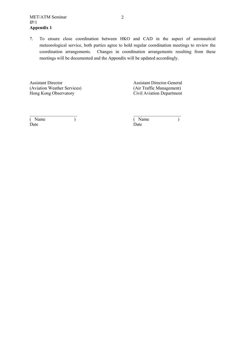7. To ensure close coordination between HKO and CAD in the aspect of aeronautical meteorological service, both parties agree to hold regular coordination meetings to review the coordination arrangements. Changes in coordination arrangements resulting from these meetings will be documented and the Appendix will be updated accordingly.

Assistant Director Assistant Director-General (Aviation Weather Services) (Air Traffic Management)<br>
Hong Kong Observatory (Civil Aviation Department

Civil Aviation Department

| (Name | Name |  |
|-------|------|--|
| Date  | Date |  |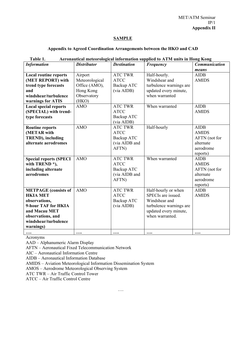# **SAMPLE**

# **Appendix to Agreed Coordination Arrangements between the HKO and CAD**

| <b>Information</b>                                                                                                                                                                                       | <b>Distributor</b>                                                                            | <b>Destination</b>                                                                                       | Frequency                                                                                                                         | <b>Communication</b>                                                               |
|----------------------------------------------------------------------------------------------------------------------------------------------------------------------------------------------------------|-----------------------------------------------------------------------------------------------|----------------------------------------------------------------------------------------------------------|-----------------------------------------------------------------------------------------------------------------------------------|------------------------------------------------------------------------------------|
|                                                                                                                                                                                                          |                                                                                               |                                                                                                          |                                                                                                                                   | means                                                                              |
| <b>Local routine reports</b><br>(MET REPORT) with<br>trend type forecasts<br>and<br>windshear/turbulence<br>warnings for ATIS<br><b>Local special reports</b><br>(SPECIAL) with trend-<br>type forecasts | Airport<br>Meteorological<br>Office (AMO),<br>Hong Kong<br>Observatory<br>(HKO)<br><b>AMO</b> | <b>ATC TWR</b><br><b>ATCC</b><br>Backup ATC<br>(via AIDB)<br><b>ATC TWR</b><br><b>ATCC</b><br>Backup ATC | Half-hourly.<br>Windshear and<br>turbulence warnings are<br>updated every minute,<br>when warranted<br>When warranted             | <b>AIDB</b><br><b>AMIDS</b><br><b>AIDB</b><br><b>AMIDS</b>                         |
| <b>Routine reports</b><br>(METAR with<br><b>TREND</b> ), including<br>alternate aerodromes                                                                                                               | <b>AMO</b>                                                                                    | (via AIDB)<br><b>ATC TWR</b><br><b>ATCC</b><br>Backup ATC<br>(via AIDB and<br>AFTN)                      | Half-hourly                                                                                                                       | <b>AIDB</b><br><b>AMIDS</b><br>AFTN (not for<br>alternate<br>aerodrome<br>reports) |
| <b>Special reports (SPECI</b><br>with TREND*),<br>including alternate<br>aerodromes                                                                                                                      | <b>AMO</b>                                                                                    | <b>ATC TWR</b><br><b>ATCC</b><br>Backup ATC<br>(via AIDB and<br>AFTN)                                    | When warranted                                                                                                                    | <b>AIDB</b><br><b>AMIDS</b><br>AFTN (not for<br>alternate<br>aerodrome<br>reports) |
| <b>METPAGE</b> (consists of<br><b>HKIA MET</b><br>observations,<br>9-hour TAF for HKIA<br>and Macau MET<br>observations, and<br>windshear/turbulence<br>warnings)                                        | <b>AMO</b>                                                                                    | <b>ATC TWR</b><br><b>ATCC</b><br>Backup ATC<br>(via AIDB)                                                | Half-hourly or when<br>SPECIs are issued.<br>Windshear and<br>turbulence warnings are<br>updated every minute,<br>when warranted. | <b>AIDB</b><br><b>AMIDS</b>                                                        |
|                                                                                                                                                                                                          | $\cdots$                                                                                      | $\cdots$                                                                                                 |                                                                                                                                   | $\cdots$                                                                           |

# **Table 1. Aeronautical meteorological information supplied to ATM units in Hong Kong**

Acronyms

AAD – Alphanumeric Alarm Display

AFTN – Aeronautical Fixed Telecommunication Network

AIC – Aeronautical Information Centre

AIDB – Aeronautical Information Database

AMIDS – Aviation Meteorological Information Dissemination System

AMOS – Aerodrome Meteorological Observing System

ATC TWR – Air Traffic Control Tower

ATCC – Air Traffic Control Centre